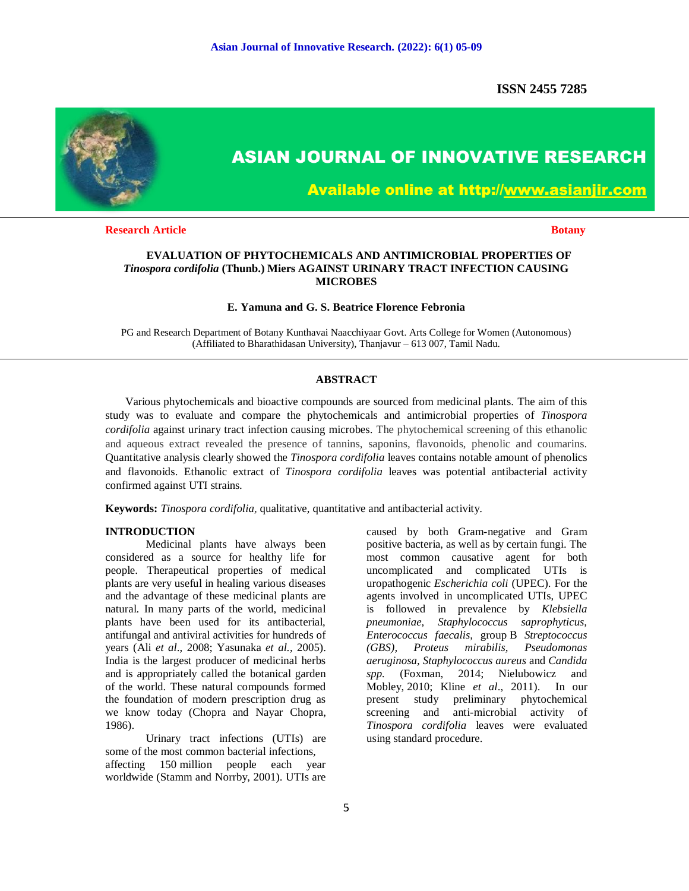**ISSN 2455 7285**



# **ASIAN JOURNAL OF INNOVATIVE RESEARCH**

**Available online at http://www.asianjir.com** 

**Research Article Botany Botany Botany Botany Botany Botany Botany Botany** 

# **EVALUATION OF PHYTOCHEMICALS AND ANTIMICROBIAL PROPERTIES OF**  *Tinospora cordifolia* **(Thunb.) Miers AGAINST URINARY TRACT INFECTION CAUSING MICROBES**

### **E. Yamuna and G. S. Beatrice Florence Febronia**

PG and Research Department of Botany Kunthavai Naacchiyaar Govt. Arts College for Women (Autonomous) (Affiliated to Bharathidasan University), Thanjavur – 613 007, Tamil Nadu.

#### **ABSTRACT**

 Various phytochemicals and bioactive compounds are sourced from medicinal plants. The aim of this study was to evaluate and compare the phytochemicals and antimicrobial properties of *Tinospora cordifolia* against urinary tract infection causing microbes. The phytochemical screening of this ethanolic and aqueous extract revealed the presence of tannins, saponins, flavonoids, phenolic and coumarins. Quantitative analysis clearly showed the *Tinospora cordifolia* leaves contains notable amount of phenolics and flavonoids. Ethanolic extract of *Tinospora cordifolia* leaves was potential antibacterial activity confirmed against UTI strains.

**Keywords:** *Tinospora cordifolia,* qualitative, quantitative and antibacterial activity.

#### **INTRODUCTION**

Medicinal plants have always been considered as a source for healthy life for people. Therapeutical properties of medical plants are very useful in healing various diseases and the advantage of these medicinal plants are natural. In many parts of the world, medicinal plants have been used for its antibacterial, antifungal and antiviral activities for hundreds of years (Ali *et al*., 2008; Yasunaka *et al.*, 2005). India is the largest producer of medicinal herbs and is appropriately called the botanical garden of the world. These natural compounds formed the foundation of modern prescription drug as we know today (Chopra and Nayar Chopra, 1986).

Urinary tract infections (UTIs) are some of the most common bacterial infections, affecting 150 million people each year worldwide (Stamm and Norrby, 2001). UTIs are

caused by both Gram-negative and Gram positive bacteria, as well as by certain fungi. The most common causative agent for both uncomplicated and complicated UTIs is uropathogenic *Escherichia coli* (UPEC). For the agents involved in uncomplicated UTIs, UPEC is followed in prevalence by *Klebsiella pneumoniae, Staphylococcus saprophyticus, Enterococcus faecalis,* group B *Streptococcus (GBS), Proteus mirabilis, Pseudomonas aeruginosa, Staphylococcus aureus* and *Candida spp.* (Foxman, 2014; Nielubowicz and Mobley, 2010; Kline *et al*., 2011). In our present study preliminary phytochemical screening and anti-microbial activity of *Tinospora cordifolia* leaves were evaluated using standard procedure.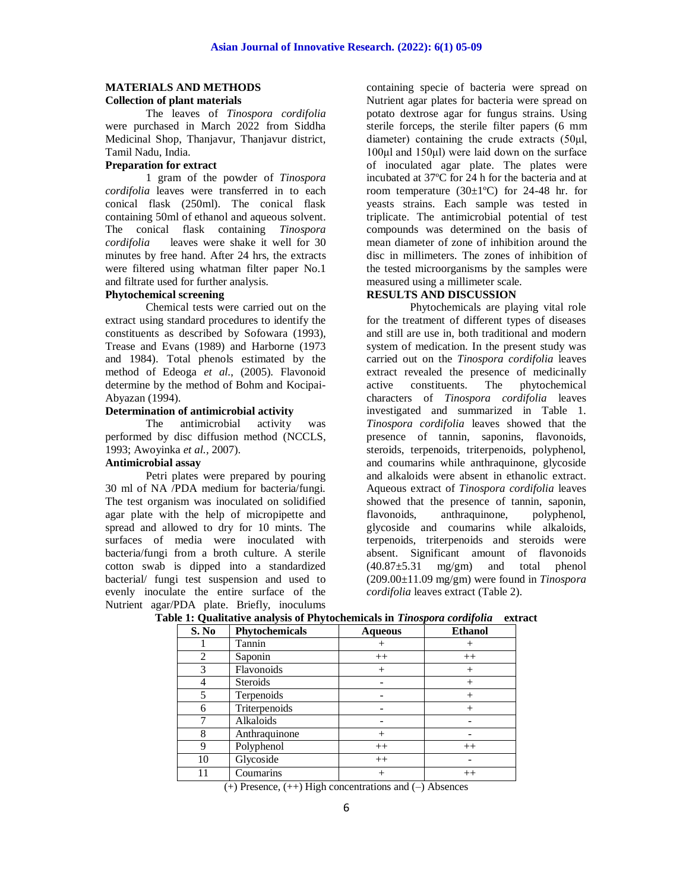# **MATERIALS AND METHODS**

# **Collection of plant materials**

The leaves of *Tinospora cordifolia*  were purchased in March 2022 from Siddha Medicinal Shop, Thanjavur, Thanjavur district, Tamil Nadu, India.

# **Preparation for extract**

1 gram of the powder of *Tinospora cordifolia* leaves were transferred in to each conical flask (250ml). The conical flask containing 50ml of ethanol and aqueous solvent. The conical flask containing *Tinospora cordifolia* leaves were shake it well for 30 minutes by free hand. After 24 hrs, the extracts were filtered using whatman filter paper No.1 and filtrate used for further analysis.

# **Phytochemical screening**

Chemical tests were carried out on the extract using standard procedures to identify the constituents as described by Sofowara (1993), Trease and Evans (1989) and Harborne (1973 and 1984). Total phenols estimated by the method of Edeoga *et al*., (2005). Flavonoid determine by the method of Bohm and Kocipai-Abyazan (1994).

## **Determination of antimicrobial activity**

The antimicrobial activity was performed by disc diffusion method (NCCLS, 1993; Awoyinka *et al.,* 2007).

# **Antimicrobial assay**

Petri plates were prepared by pouring 30 ml of NA /PDA medium for bacteria/fungi. The test organism was inoculated on solidified agar plate with the help of micropipette and spread and allowed to dry for 10 mints. The surfaces of media were inoculated with bacteria/fungi from a broth culture. A sterile cotton swab is dipped into a standardized bacterial/ fungi test suspension and used to evenly inoculate the entire surface of the Nutrient agar/PDA plate. Briefly, inoculums

containing specie of bacteria were spread on Nutrient agar plates for bacteria were spread on potato dextrose agar for fungus strains. Using sterile forceps, the sterile filter papers (6 mm diameter) containing the crude extracts (50μl, 100μl and 150μl) were laid down on the surface of inoculated agar plate. The plates were incubated at 37ºC for 24 h for the bacteria and at room temperature  $(30\pm1\textdegree C)$  for 24-48 hr. for yeasts strains. Each sample was tested in triplicate. The antimicrobial potential of test compounds was determined on the basis of mean diameter of zone of inhibition around the disc in millimeters. The zones of inhibition of the tested microorganisms by the samples were measured using a millimeter scale.

#### **RESULTS AND DISCUSSION**

Phytochemicals are playing vital role for the treatment of different types of diseases and still are use in, both traditional and modern system of medication. In the present study was carried out on the *Tinospora cordifolia* leaves extract revealed the presence of medicinally active constituents. The phytochemical characters of *Tinospora cordifolia* leaves investigated and summarized in Table 1. *Tinospora cordifolia* leaves showed that the presence of tannin, saponins, flavonoids, steroids, terpenoids, triterpenoids, polyphenol, and coumarins while anthraquinone, glycoside and alkaloids were absent in ethanolic extract. Aqueous extract of *Tinospora cordifolia* leaves showed that the presence of tannin, saponin, flavonoids, anthraquinone, polyphenol, flavonoids, anthraquinone, glycoside and coumarins while alkaloids, terpenoids, triterpenoids and steroids were absent. Significant amount of flavonoids  $(40.87 \pm 5.31 \text{ mg/cm})$  and total phenol (209.00±11.09 mg/gm) were found in *Tinospora cordifolia* leaves extract (Table 2).

| S. No | Phytochemicals | <b>Aqueous</b> | <b>Ethanol</b> |
|-------|----------------|----------------|----------------|
|       | Tannin         |                |                |
| 2     | Saponin        | $++$           | $^{++}$        |
| 3     | Flavonoids     | $+$            | $^{+}$         |
|       | Steroids       |                | $^{+}$         |
| 5     | Terpenoids     |                | $^{+}$         |
| 6     | Triterpenoids  |                | $^{+}$         |
|       | Alkaloids      |                |                |
| 8     | Anthraquinone  | $^{+}$         |                |
| 9     | Polyphenol     | $++$           | $++$           |
| 10    | Glycoside      | $++$           |                |
| 11    | Coumarins      | $^{+}$<br>.    | $++$           |

#### **Table 1: Qualitative analysis of Phytochemicals in** *Tinospora cordifolia* **extract**

 $(+)$  Presence,  $(++)$  High concentrations and  $(-)$  Absences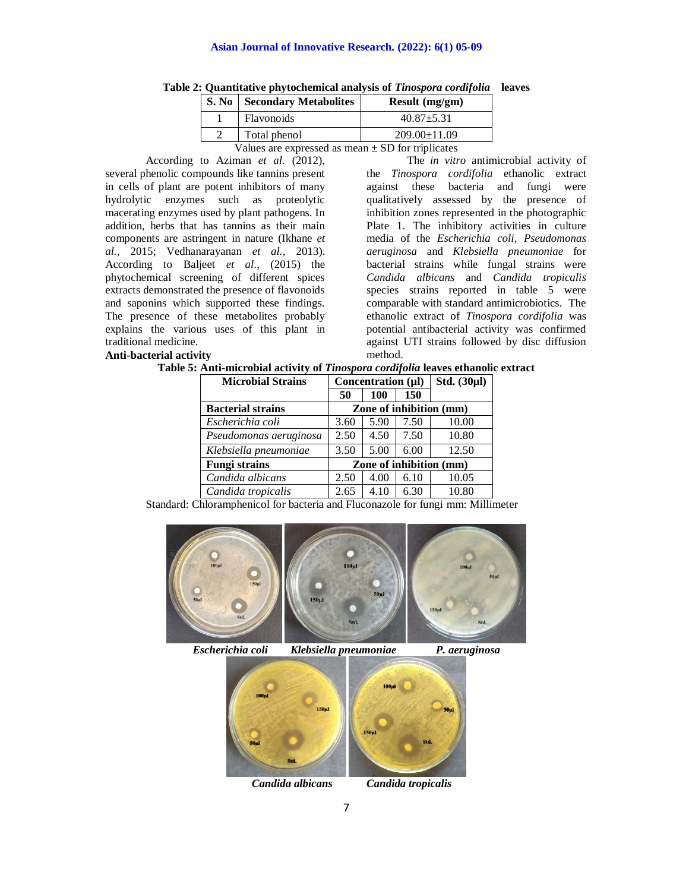#### **Asian Journal of Innovative Research. (2022): 6(1) 05-09**

|                                                                                  | <b>S. No</b> Secondary Metabolites | Result $(mg/gm)$   |  |  |  |
|----------------------------------------------------------------------------------|------------------------------------|--------------------|--|--|--|
|                                                                                  | Flavonoids                         | $40.87 \pm 5.31$   |  |  |  |
|                                                                                  | Total phenol                       | $209.00 \pm 11.09$ |  |  |  |
| $\mathbf{V}$ oluga are armaecead ac maan $\mathbf{F} \mathbf{D}$ for triplicates |                                    |                    |  |  |  |

**Table 2: Quantitative phytochemical analysis of** *Tinospora cordifolia* **leaves**

Values are expressed as mean  $\pm$  SD for triplicates

According to Aziman *et al*. (2012), several phenolic compounds like tannins present in cells of plant are potent inhibitors of many hydrolytic enzymes such as proteolytic macerating enzymes used by plant pathogens. In addition, herbs that has tannins as their main components are astringent in nature (Ikhane *et al.*, 2015; Vedhanarayanan *et al.,* 2013). According to Baljeet *et al*., (2015) the phytochemical screening of different spices extracts demonstrated the presence of flavonoids and saponins which supported these findings. The presence of these metabolites probably explains the various uses of this plant in traditional medicine. **Anti-bacterial activity**

The *in vitro* antimicrobial activity of the *Tinospora cordifolia* ethanolic extract against these bacteria and fungi were qualitatively assessed by the presence of inhibition zones represented in the photographic Plate 1. The inhibitory activities in culture media of the *Escherichia coli*, *Pseudomonas aeruginosa* and *Klebsiella pneumoniae* for bacterial strains while fungal strains were *Candida albicans* and *Candida tropicalis* species strains reported in table 5 were comparable with standard antimicrobiotics. The ethanolic extract of *Tinospora cordifolia* was potential antibacterial activity was confirmed against UTI strains followed by disc diffusion method.

#### **Table 5: Anti-microbial activity of** *Tinospora cordifolia* **leaves ethanolic extract**

| <b>Microbial Strains</b> | Concentration (µl)      |      |      | Std. $(30\mu l)$ |
|--------------------------|-------------------------|------|------|------------------|
|                          | 50                      | 100  | 150  |                  |
| <b>Bacterial strains</b> | Zone of inhibition (mm) |      |      |                  |
| Escherichia coli         | 3.60                    | 5.90 | 7.50 | 10.00            |
| Pseudomonas aeruginosa   | 2.50                    | 4.50 | 7.50 | 10.80            |
| Klebsiella pneumoniae    | 3.50                    | 5.00 | 6.00 | 12.50            |
| <b>Fungi strains</b>     | Zone of inhibition (mm) |      |      |                  |
| Candida albicans         | 2.50                    | 4.00 | 6.10 | 10.05            |
| Candida tropicalis       | 2.65                    | 4.10 | 6.30 | 10.80            |

Standard: Chloramphenicol for bacteria and Fluconazole for fungi mm: Millimeter



 *Escherichia coli Klebsiella pneumoniae P. aeruginosa*

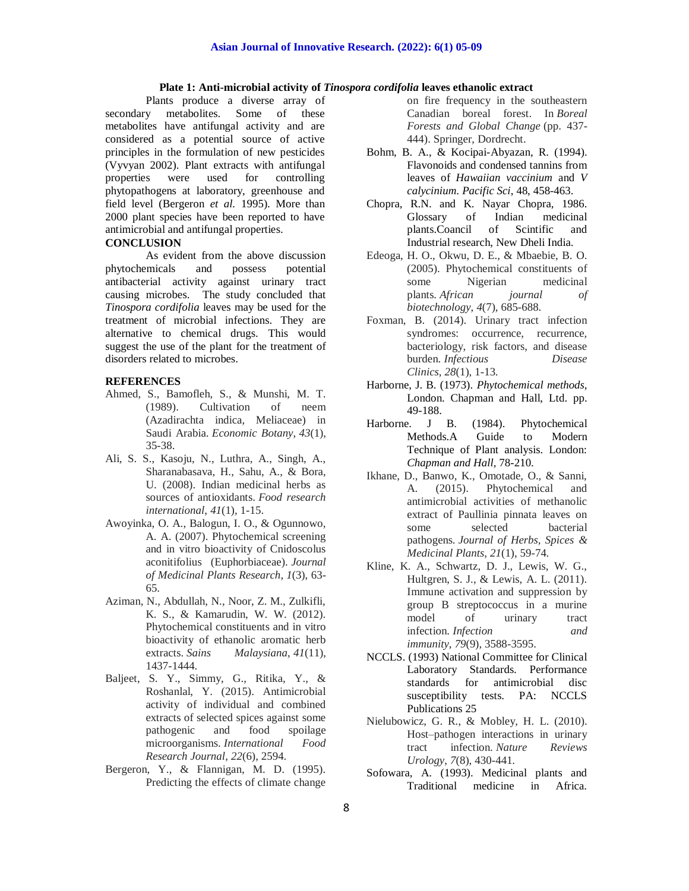#### **Plate 1: Anti-microbial activity of** *Tinospora cordifolia* **leaves ethanolic extract**

Plants produce a diverse array of secondary metabolites. Some of these metabolites have antifungal activity and are considered as a potential source of active principles in the formulation of new pesticides (Vyvyan 2002). Plant extracts with antifungal properties were used for controlling phytopathogens at laboratory, greenhouse and field level (Bergeron *et al.* 1995). More than 2000 plant species have been reported to have antimicrobial and antifungal properties.

# **CONCLUSION**

As evident from the above discussion phytochemicals and possess potential antibacterial activity against urinary tract causing microbes. The study concluded that *Tinospora cordifolia* leaves may be used for the treatment of microbial infections. They are alternative to chemical drugs. This would suggest the use of the plant for the treatment of disorders related to microbes.

#### **REFERENCES**

- Ahmed, S., Bamofleh, S., & Munshi, M. T. (1989). Cultivation of neem (Azadirachta indica, Meliaceae) in Saudi Arabia. *Economic Botany*, *43*(1), 35-38.
- Ali, S. S., Kasoju, N., Luthra, A., Singh, A., Sharanabasava, H., Sahu, A., & Bora, U. (2008). Indian medicinal herbs as sources of antioxidants. *Food research international*, *41*(1), 1-15.
- Awoyinka, O. A., Balogun, I. O., & Ogunnowo, A. A. (2007). Phytochemical screening and in vitro bioactivity of Cnidoscolus aconitifolius (Euphorbiaceae). *Journal of Medicinal Plants Research*, *1*(3), 63- 65.
- Aziman, N., Abdullah, N., Noor, Z. M., Zulkifli, K. S., & Kamarudin, W. W. (2012). Phytochemical constituents and in vitro bioactivity of ethanolic aromatic herb extracts. *Sains Malaysiana*, *41*(11), 1437-1444.
- Baljeet, S. Y., Simmy, G., Ritika, Y., & Roshanlal, Y. (2015). Antimicrobial activity of individual and combined extracts of selected spices against some pathogenic and food spoilage microorganisms. *International Food Research Journal*, *22*(6), 2594.
- Bergeron, Y., & Flannigan, M. D. (1995). Predicting the effects of climate change
- on fire frequency in the southeastern Canadian boreal forest. In *Boreal Forests and Global Change* (pp. 437- 444). Springer, Dordrecht.
- Bohm, B. A., & Kocipai-Abyazan, R. (1994). Flavonoids and condensed tannins from leaves of *Hawaiian vaccinium* and *V calycinium*. *Pacific Sci*, 48, 458-463.
- Chopra, R.N. and K. Nayar Chopra, 1986. Glossary of Indian medicinal<br>plants.Coancil of Scintific and plants.Coancil of Scintific and Industrial research, New Dheli India.
- Edeoga, H. O., Okwu, D. E., & Mbaebie, B. O. (2005). Phytochemical constituents of some Nigerian medicinal plants. *African journal of biotechnology*, *4*(7), 685-688.
- Foxman, B. (2014). Urinary tract infection syndromes: occurrence, recurrence, bacteriology, risk factors, and disease burden. *Infectious Disease Clinics*, *28*(1), 1-13.
- Harborne, J. B. (1973). *Phytochemical methods*, London. Chapman and Hall, Ltd. pp. 49-188.
- Harborne. J B. (1984). Phytochemical Methods.A Guide to Modern Technique of Plant analysis. London: *Chapman and Hall,* 78-210.
- Ikhane, D., Banwo, K., Omotade, O., & Sanni, A. (2015). Phytochemical and antimicrobial activities of methanolic extract of Paullinia pinnata leaves on some selected bacterial pathogens. *Journal of Herbs, Spices & Medicinal Plants*, *21*(1), 59-74.
- Kline, K. A., Schwartz, D. J., Lewis, W. G., Hultgren, S. J., & Lewis, A. L. (2011). Immune activation and suppression by group B streptococcus in a murine model of urinary tract infection. *Infection and immunity*, *79*(9), 3588-3595.
- NCCLS. (1993) National Committee for Clinical Laboratory Standards. Performance standards for antimicrobial disc susceptibility tests. PA: NCCLS Publications 25
- Nielubowicz, G. R., & Mobley, H. L. (2010). Host–pathogen interactions in urinary tract infection. *Nature Reviews Urology*, *7*(8), 430-441.
- Sofowara, A. (1993). Medicinal plants and Traditional medicine in Africa.